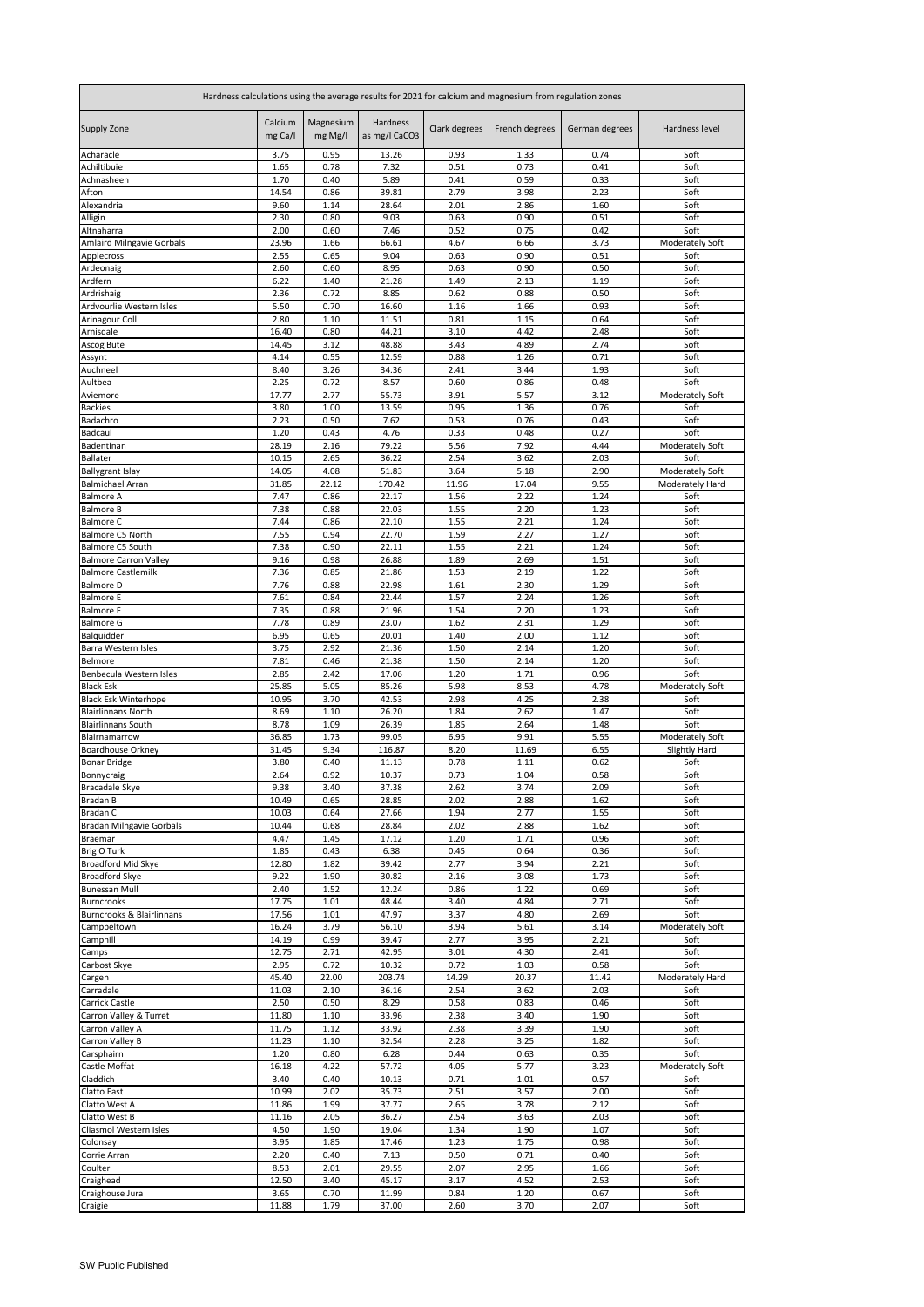| Hardness calculations using the average results for 2021 for calcium and magnesium from regulation zones |                    |                      |                           |               |                |                |                         |  |
|----------------------------------------------------------------------------------------------------------|--------------------|----------------------|---------------------------|---------------|----------------|----------------|-------------------------|--|
| <b>Supply Zone</b>                                                                                       | Calcium<br>mg Ca/I | Magnesium<br>mg Mg/l | Hardness<br>as mg/l CaCO3 | Clark degrees | French degrees | German degrees | Hardness level          |  |
| Acharacle                                                                                                | 3.75               | 0.95                 | 13.26                     | 0.93          | 1.33           | 0.74           | Soft                    |  |
| Achiltibuie<br>Achnasheen                                                                                | 1.65<br>1.70       | 0.78<br>0.40         | 7.32<br>5.89              | 0.51<br>0.41  | 0.73<br>0.59   | 0.41<br>0.33   | Soft<br>Soft            |  |
| Afton                                                                                                    | 14.54              | 0.86                 | 39.81                     | 2.79          | 3.98           | 2.23           | Soft                    |  |
| Alexandria                                                                                               | 9.60               | 1.14                 | 28.64                     | 2.01          | 2.86           | 1.60           | Soft                    |  |
| Alligin                                                                                                  | 2.30               | 0.80                 | 9.03                      | 0.63          | 0.90           | 0.51           | Soft                    |  |
| Altnaharra                                                                                               | 2.00               | 0.60<br>1.66         | 7.46<br>66.61             | 0.52<br>4.67  | 0.75<br>6.66   | 0.42<br>3.73   | Soft                    |  |
| <b>Amlaird Milngavie Gorbals</b><br>Applecross                                                           | 23.96<br>2.55      | 0.65                 | 9.04                      | 0.63          | 0.90           | 0.51           | Moderately Soft<br>Soft |  |
| Ardeonaig                                                                                                | 2.60               | 0.60                 | 8.95                      | 0.63          | 0.90           | 0.50           | Soft                    |  |
| Ardfern                                                                                                  | 6.22               | 1.40                 | 21.28                     | 1.49          | 2.13           | 1.19           | Soft                    |  |
| Ardrishaig                                                                                               | 2.36               | 0.72                 | 8.85                      | 0.62          | 0.88           | 0.50           | Soft                    |  |
| Ardvourlie Western Isles<br>Arinagour Coll                                                               | 5.50<br>2.80       | 0.70<br>1.10         | 16.60<br>11.51            | 1.16<br>0.81  | 1.66<br>1.15   | 0.93<br>0.64   | Soft<br>Soft            |  |
| Arnisdale                                                                                                | 16.40              | 0.80                 | 44.21                     | 3.10          | 4.42           | 2.48           | Soft                    |  |
| Ascog Bute                                                                                               | 14.45              | 3.12                 | 48.88                     | 3.43          | 4.89           | 2.74           | Soft                    |  |
| Assynt                                                                                                   | 4.14               | 0.55                 | 12.59                     | 0.88          | 1.26           | 0.71           | Soft                    |  |
| Auchneel<br>Aultbea                                                                                      | 8.40<br>2.25       | 3.26<br>0.72         | 34.36<br>8.57             | 2.41<br>0.60  | 3.44<br>0.86   | 1.93<br>0.48   | Soft<br>Soft            |  |
| Aviemore                                                                                                 | 17.77              | 2.77                 | 55.73                     | 3.91          | 5.57           | 3.12           | Moderately Soft         |  |
| <b>Backies</b>                                                                                           | 3.80               | 1.00                 | 13.59                     | 0.95          | 1.36           | 0.76           | Soft                    |  |
| Badachro                                                                                                 | 2.23               | 0.50                 | 7.62                      | 0.53          | 0.76           | 0.43           | Soft                    |  |
| Badcaul                                                                                                  | 1.20               | 0.43                 | 4.76                      | 0.33          | 0.48           | 0.27           | Soft                    |  |
| Badentinan<br>Ballater                                                                                   | 28.19<br>10.15     | 2.16<br>2.65         | 79.22<br>36.22            | 5.56<br>2.54  | 7.92<br>3.62   | 4.44<br>2.03   | Moderately Soft<br>Soft |  |
| <b>Ballygrant Islay</b>                                                                                  | 14.05              | 4.08                 | 51.83                     | 3.64          | 5.18           | 2.90           | Moderately Soft         |  |
| <b>Balmichael Arran</b>                                                                                  | 31.85              | 22.12                | 170.42                    | 11.96         | 17.04          | 9.55           | Moderately Hard         |  |
| <b>Balmore A</b>                                                                                         | 7.47               | 0.86                 | 22.17                     | 1.56          | 2.22           | 1.24           | Soft                    |  |
| <b>Balmore B</b><br><b>Balmore C</b>                                                                     | 7.38<br>7.44       | 0.88<br>0.86         | 22.03<br>22.10            | 1.55<br>1.55  | 2.20<br>2.21   | 1.23<br>1.24   | Soft<br>Soft            |  |
| Balmore C5 North                                                                                         | 7.55               | 0.94                 | 22.70                     | 1.59          | 2.27           | 1.27           | Soft                    |  |
| Balmore C5 South                                                                                         | 7.38               | 0.90                 | 22.11                     | 1.55          | 2.21           | 1.24           | Soft                    |  |
| <b>Balmore Carron Valley</b>                                                                             | 9.16               | 0.98                 | 26.88                     | 1.89          | 2.69           | 1.51           | Soft                    |  |
| <b>Balmore Castlemilk</b>                                                                                | 7.36               | 0.85                 | 21.86                     | 1.53          | 2.19           | 1.22           | Soft                    |  |
| <b>Balmore D</b><br><b>Balmore E</b>                                                                     | 7.76<br>7.61       | 0.88<br>0.84         | 22.98<br>22.44            | 1.61<br>1.57  | 2.30<br>2.24   | 1.29<br>1.26   | Soft<br>Soft            |  |
| <b>Balmore F</b>                                                                                         | 7.35               | 0.88                 | 21.96                     | 1.54          | 2.20           | 1.23           | Soft                    |  |
| <b>Balmore G</b>                                                                                         | 7.78               | 0.89                 | 23.07                     | 1.62          | 2.31           | 1.29           | Soft                    |  |
| Balquidder                                                                                               | 6.95               | 0.65                 | 20.01                     | 1.40          | 2.00           | 1.12           | Soft                    |  |
| <b>Barra Western Isles</b><br>Belmore                                                                    | 3.75<br>7.81       | 2.92<br>0.46         | 21.36<br>21.38            | 1.50<br>1.50  | 2.14<br>2.14   | 1.20<br>1.20   | Soft<br>Soft            |  |
| Benbecula Western Isles                                                                                  | 2.85               | 2.42                 | 17.06                     | 1.20          | 1.71           | 0.96           | Soft                    |  |
| <b>Black Esk</b>                                                                                         | 25.85              | 5.05                 | 85.26                     | 5.98          | 8.53           | 4.78           | Moderately Soft         |  |
| <b>Black Esk Winterhope</b>                                                                              | 10.95              | 3.70                 | 42.53                     | 2.98          | 4.25           | 2.38           | Soft                    |  |
| <b>Blairlinnans North</b>                                                                                | 8.69               | 1.10                 | 26.20                     | 1.84          | 2.62           | 1.47           | Soft                    |  |
| <b>Blairlinnans South</b><br>Blairnamarrow                                                               | 8.78<br>36.85      | 1.09<br>1.73         | 26.39<br>99.05            | 1.85<br>6.95  | 2.64<br>9.91   | 1.48<br>5.55   | Soft<br>Moderately Soft |  |
| <b>Boardhouse Orkney</b>                                                                                 | 31.45              | 9.34                 | 116.87                    | 8.20          | 11.69          | 6.55           | Slightly Hard           |  |
| <b>Bonar Bridge</b>                                                                                      | 3.80               | 0.40                 | 11.13                     | 0.78          | 1.11           | 0.62           | Soft                    |  |
| Bonnycraig                                                                                               | 2.64               | 0.92                 | 10.37                     | 0.73          | 1.04           | 0.58           | Soft                    |  |
| Bracadale Skye<br>Bradan B                                                                               | 9.38<br>10.49      | 3.40<br>0.65         | 37.38<br>28.85            | 2.62<br>2.02  | 3.74<br>2.88   | 2.09<br>1.62   | Soft<br>Soft            |  |
| <b>Bradan C</b>                                                                                          | 10.03              | 0.64                 | 27.66                     | 1.94          | 2.77           | 1.55           | Soft                    |  |
| <b>Bradan Milngavie Gorbals</b>                                                                          | 10.44              | 0.68                 | 28.84                     | 2.02          | 2.88           | 1.62           | Soft                    |  |
| Braemar                                                                                                  | 4.47               | 1.45                 | 17.12                     | 1.20          | 1.71           | 0.96           | Soft                    |  |
| Brig O Turk                                                                                              | 1.85               | 0.43                 | 6.38                      | 0.45          | 0.64           | 0.36           | Soft                    |  |
| <b>Broadford Mid Skye</b><br>Broadford Skye                                                              | 12.80<br>9.22      | 1.82<br>1.90         | 39.42<br>30.82            | 2.77<br>2.16  | 3.94<br>3.08   | 2.21<br>1.73   | Soft<br>Soft            |  |
| <b>Bunessan Mull</b>                                                                                     | 2.40               | 1.52                 | 12.24                     | 0.86          | 1.22           | 0.69           | Soft                    |  |
| <b>Burncrooks</b>                                                                                        | 17.75              | 1.01                 | 48.44                     | 3.40          | 4.84           | 2.71           | Soft                    |  |
| <b>Burncrooks &amp; Blairlinnans</b>                                                                     | 17.56              | 1.01                 | 47.97                     | 3.37          | 4.80           | 2.69           | Soft                    |  |
| Campbeltown<br>Camphill                                                                                  | 16.24<br>14.19     | 3.79<br>0.99         | 56.10<br>39.47            | 3.94<br>2.77  | 5.61<br>3.95   | 3.14<br>2.21   | Moderately Soft<br>Soft |  |
| Camps                                                                                                    | 12.75              | 2.71                 | 42.95                     | 3.01          | 4.30           | 2.41           | Soft                    |  |
| Carbost Skye                                                                                             | 2.95               | 0.72                 | 10.32                     | 0.72          | 1.03           | 0.58           | Soft                    |  |
| Cargen                                                                                                   | 45.40              | 22.00                | 203.74                    | 14.29         | 20.37          | 11.42          | Moderately Hard         |  |
| Carradale                                                                                                | 11.03              | 2.10                 | 36.16                     | 2.54          | 3.62           | 2.03           | Soft                    |  |
| Carrick Castle<br>Carron Valley & Turret                                                                 | 2.50<br>11.80      | 0.50<br>1.10         | 8.29<br>33.96             | 0.58<br>2.38  | 0.83<br>3.40   | 0.46<br>1.90   | Soft<br>Soft            |  |
| Carron Valley A                                                                                          | 11.75              | 1.12                 | 33.92                     | 2.38          | 3.39           | 1.90           | Soft                    |  |
| Carron Valley B                                                                                          | 11.23              | 1.10                 | 32.54                     | 2.28          | 3.25           | 1.82           | Soft                    |  |
| Carsphairn                                                                                               | 1.20               | 0.80                 | 6.28                      | 0.44          | 0.63           | 0.35           | Soft                    |  |
| Castle Moffat                                                                                            | 16.18              | 4.22                 | 57.72                     | 4.05          | 5.77           | 3.23           | Moderately Soft         |  |
| Claddich<br>Clatto East                                                                                  | 3.40<br>10.99      | 0.40<br>2.02         | 10.13<br>35.73            | 0.71<br>2.51  | 1.01<br>3.57   | 0.57<br>2.00   | Soft<br>Soft            |  |
| Clatto West A                                                                                            | 11.86              | 1.99                 | 37.77                     | 2.65          | 3.78           | 2.12           | Soft                    |  |
| Clatto West B                                                                                            | 11.16              | 2.05                 | 36.27                     | 2.54          | 3.63           | 2.03           | Soft                    |  |
| Cliasmol Western Isles                                                                                   | 4.50               | 1.90                 | 19.04                     | 1.34          | 1.90           | 1.07           | Soft                    |  |
| Colonsay                                                                                                 | 3.95               | 1.85                 | 17.46                     | 1.23          | 1.75           | 0.98           | Soft                    |  |
| Corrie Arran<br>Coulter                                                                                  | 2.20<br>8.53       | 0.40<br>2.01         | 7.13<br>29.55             | 0.50<br>2.07  | 0.71<br>2.95   | 0.40<br>1.66   | Soft<br>Soft            |  |
| Craighead                                                                                                | 12.50              | 3.40                 | 45.17                     | 3.17          | 4.52           | 2.53           | Soft                    |  |
| Craighouse Jura                                                                                          | 3.65               | 0.70                 | 11.99                     | 0.84          | 1.20           | 0.67           | Soft                    |  |
| Craigie                                                                                                  | 11.88              | 1.79                 | 37.00                     | 2.60          | 3.70           | 2.07           | Soft                    |  |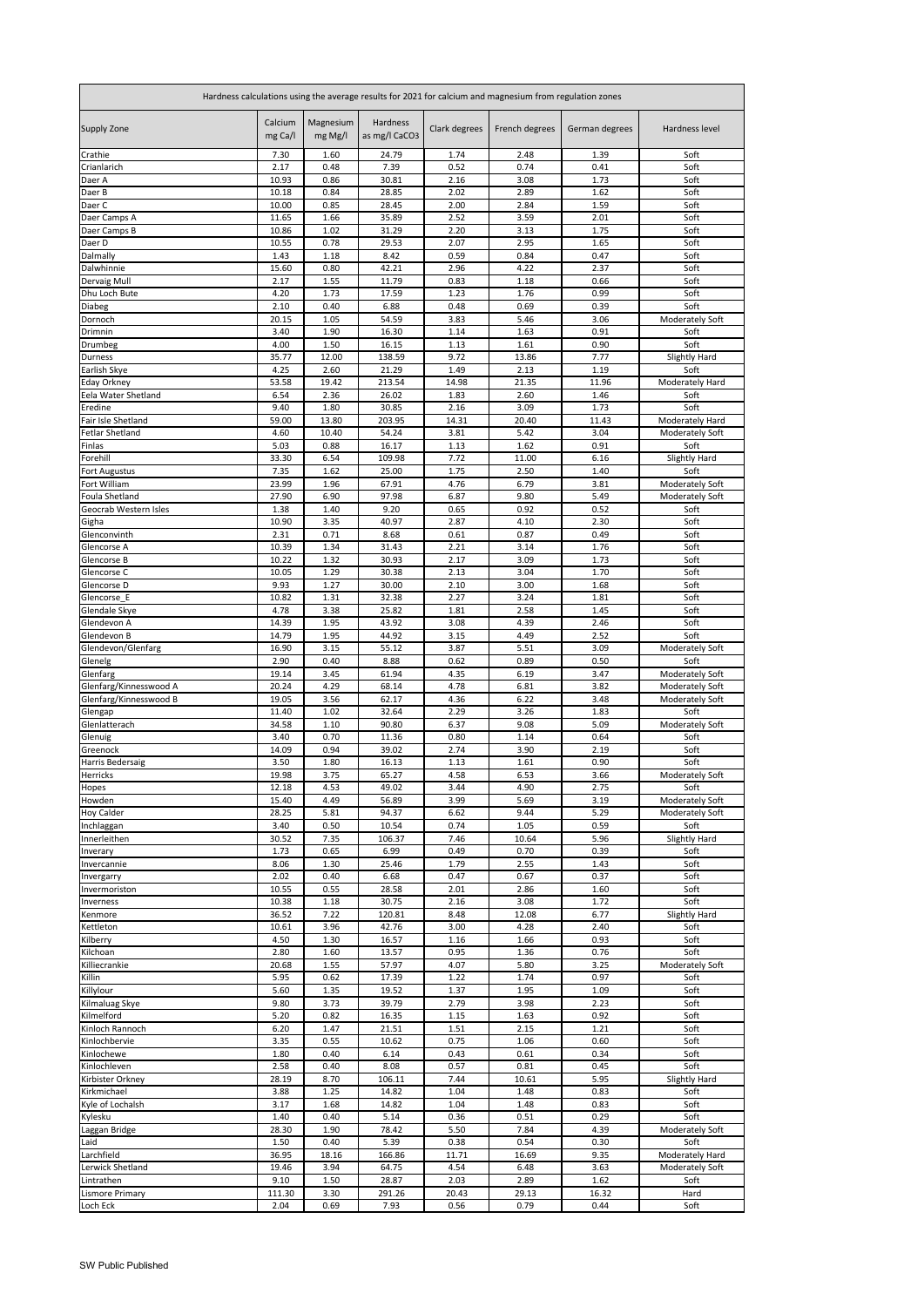| Hardness calculations using the average results for 2021 for calcium and magnesium from regulation zones |                    |                      |                           |               |                |                |                         |
|----------------------------------------------------------------------------------------------------------|--------------------|----------------------|---------------------------|---------------|----------------|----------------|-------------------------|
| Supply Zone                                                                                              | Calcium<br>mg Ca/l | Magnesium<br>mg Mg/l | Hardness<br>as mg/l CaCO3 | Clark degrees | French degrees | German degrees | Hardness level          |
| Crathie                                                                                                  | 7.30               | 1.60                 | 24.79                     | 1.74          | 2.48           | 1.39           | Soft                    |
| Crianlarich                                                                                              | 2.17               | 0.48                 | 7.39                      | 0.52          | 0.74           | 0.41           | Soft                    |
| Daer A<br>Daer B                                                                                         | 10.93<br>10.18     | 0.86<br>0.84         | 30.81<br>28.85            | 2.16<br>2.02  | 3.08<br>2.89   | 1.73<br>1.62   | Soft<br>Soft            |
| Daer C                                                                                                   | 10.00              | 0.85                 | 28.45                     | 2.00          | 2.84           | 1.59           | Soft                    |
| Daer Camps A                                                                                             | 11.65              | 1.66                 | 35.89                     | 2.52          | 3.59           | 2.01           | Soft                    |
| Daer Camps B                                                                                             | 10.86              | 1.02                 | 31.29                     | 2.20          | 3.13           | 1.75           | Soft                    |
| Daer D                                                                                                   | 10.55              | 0.78                 | 29.53                     | 2.07          | 2.95           | 1.65           | Soft                    |
| Dalmally                                                                                                 | 1.43               | 1.18                 | 8.42                      | 0.59          | 0.84           | 0.47           | Soft                    |
| Dalwhinnie                                                                                               | 15.60              | 0.80                 | 42.21                     | 2.96          | 4.22           | 2.37           | Soft                    |
| Dervaig Mull                                                                                             | 2.17               | 1.55                 | 11.79                     | 0.83          | 1.18           | 0.66           | Soft                    |
| Dhu Loch Bute<br>Diabeg                                                                                  | 4.20<br>2.10       | 1.73<br>0.40         | 17.59<br>6.88             | 1.23<br>0.48  | 1.76<br>0.69   | 0.99<br>0.39   | Soft<br>Soft            |
| Dornoch                                                                                                  | 20.15              | 1.05                 | 54.59                     | 3.83          | 5.46           | 3.06           | Moderately Soft         |
| Drimnin                                                                                                  | 3.40               | 1.90                 | 16.30                     | 1.14          | 1.63           | 0.91           | Soft                    |
| Drumbeg                                                                                                  | 4.00               | 1.50                 | 16.15                     | 1.13          | 1.61           | 0.90           | Soft                    |
| Durness                                                                                                  | 35.77              | 12.00                | 138.59                    | 9.72          | 13.86          | 7.77           | <b>Slightly Hard</b>    |
| Earlish Skye                                                                                             | 4.25               | 2.60                 | 21.29                     | 1.49          | 2.13           | 1.19           | Soft                    |
| <b>Eday Orkney</b>                                                                                       | 53.58              | 19.42                | 213.54                    | 14.98         | 21.35          | 11.96          | Moderately Hard         |
| Eela Water Shetland<br>Eredine                                                                           | 6.54<br>9.40       | 2.36<br>1.80         | 26.02<br>30.85            | 1.83<br>2.16  | 2.60<br>3.09   | 1.46<br>1.73   | Soft<br>Soft            |
| Fair Isle Shetland                                                                                       | 59.00              | 13.80                | 203.95                    | 14.31         | 20.40          | 11.43          | Moderately Hard         |
| <b>Fetlar Shetland</b>                                                                                   | 4.60               | 10.40                | 54.24                     | 3.81          | 5.42           | 3.04           | Moderately Soft         |
| Finlas                                                                                                   | 5.03               | 0.88                 | 16.17                     | 1.13          | 1.62           | 0.91           | Soft                    |
| Forehill                                                                                                 | 33.30              | 6.54                 | 109.98                    | 7.72          | 11.00          | 6.16           | Slightly Hard           |
| <b>Fort Augustus</b>                                                                                     | 7.35               | 1.62                 | 25.00                     | 1.75          | 2.50           | 1.40           | Soft                    |
| Fort William                                                                                             | 23.99              | 1.96                 | 67.91                     | 4.76          | 6.79           | 3.81           | Moderately Soft         |
| Foula Shetland                                                                                           | 27.90              | 6.90                 | 97.98                     | 6.87          | 9.80           | 5.49           | Moderately Soft         |
| Geocrab Western Isles<br>Gigha                                                                           | 1.38<br>10.90      | 1.40<br>3.35         | 9.20<br>40.97             | 0.65<br>2.87  | 0.92<br>4.10   | 0.52<br>2.30   | Soft<br>Soft            |
| Glenconvinth                                                                                             | 2.31               | 0.71                 | 8.68                      | 0.61          | 0.87           | 0.49           | Soft                    |
| Glencorse A                                                                                              | 10.39              | 1.34                 | 31.43                     | 2.21          | 3.14           | 1.76           | Soft                    |
| Glencorse B                                                                                              | 10.22              | 1.32                 | 30.93                     | 2.17          | 3.09           | 1.73           | Soft                    |
| Glencorse C                                                                                              | 10.05              | 1.29                 | 30.38                     | 2.13          | 3.04           | 1.70           | Soft                    |
| Glencorse D                                                                                              | 9.93               | 1.27                 | 30.00                     | 2.10          | 3.00           | 1.68           | Soft                    |
| Glencorse_E                                                                                              | 10.82              | 1.31                 | 32.38                     | 2.27          | 3.24           | 1.81           | Soft                    |
| Glendale Skye<br>Glendevon A                                                                             | 4.78               | 3.38                 | 25.82<br>43.92            | 1.81          | 2.58<br>4.39   | 1.45           | Soft<br>Soft            |
| Glendevon B                                                                                              | 14.39<br>14.79     | 1.95<br>1.95         | 44.92                     | 3.08<br>3.15  | 4.49           | 2.46<br>2.52   | Soft                    |
| Glendevon/Glenfarg                                                                                       | 16.90              | 3.15                 | 55.12                     | 3.87          | 5.51           | 3.09           | Moderately Soft         |
| Glenelg                                                                                                  | 2.90               | 0.40                 | 8.88                      | 0.62          | 0.89           | 0.50           | Soft                    |
| Glenfarg                                                                                                 | 19.14              | 3.45                 | 61.94                     | 4.35          | 6.19           | 3.47           | Moderately Soft         |
| Glenfarg/Kinnesswood A                                                                                   | 20.24              | 4.29                 | 68.14                     | 4.78          | 6.81           | 3.82           | Moderately Soft         |
| Glenfarg/Kinnesswood B                                                                                   | 19.05              | 3.56                 | 62.17                     | 4.36          | 6.22           | 3.48           | Moderately Soft         |
| Glengap                                                                                                  | 11.40              | 1.02                 | 32.64                     | 2.29          | 3.26           | 1.83           | Soft                    |
| Glenlatterach<br>Glenuig                                                                                 | 34.58<br>3.40      | 1.10<br>0.70         | 90.80<br>11.36            | 6.37<br>0.80  | 9.08<br>1.14   | 5.09<br>0.64   | Moderately Soft<br>Soft |
| Greenock                                                                                                 | 14.09              | 0.94                 | 39.02                     | 2.74          | 3.90           | 2.19           | Soft                    |
| Harris Bedersaig                                                                                         | 3.50               | 1.80                 | 16.13                     | 1.13          | 1.61           | 0.90           | Soft                    |
| Herricks                                                                                                 | 19.98              | 3.75                 | 65.27                     | 4.58          | 6.53           | 3.66           | Moderately Soft         |
| Hopes                                                                                                    | 12.18              | 4.53                 | 49.02                     | 3.44          | 4.90           | 2.75           | Soft                    |
| Howden                                                                                                   | 15.40              | 4.49                 | 56.89                     | 3.99          | 5.69           | 3.19           | Moderately Soft         |
| <b>Hoy Calder</b>                                                                                        | 28.25              | 5.81                 | 94.37                     | 6.62          | 9.44           | 5.29           | Moderately Soft         |
| Inchlaggan<br>Innerleithen                                                                               | 3.40               | 0.50                 | 10.54                     | 0.74          | 1.05           | 0.59           | Soft                    |
| Inverary                                                                                                 | 30.52<br>1.73      | 7.35<br>0.65         | 106.37<br>6.99            | 7.46<br>0.49  | 10.64<br>0.70  | 5.96<br>0.39   | Slightly Hard<br>Soft   |
| Invercannie                                                                                              | 8.06               | 1.30                 | 25.46                     | 1.79          | 2.55           | 1.43           | Soft                    |
| Invergarry                                                                                               | 2.02               | 0.40                 | 6.68                      | 0.47          | 0.67           | 0.37           | Soft                    |
| Invermoriston                                                                                            | 10.55              | 0.55                 | 28.58                     | 2.01          | 2.86           | 1.60           | Soft                    |
| Inverness                                                                                                | 10.38              | 1.18                 | 30.75                     | 2.16          | 3.08           | 1.72           | Soft                    |
| Kenmore                                                                                                  | 36.52              | 7.22                 | 120.81                    | 8.48          | 12.08          | 6.77           | Slightly Hard           |
| Kettleton                                                                                                | 10.61              | 3.96                 | 42.76                     | 3.00          | 4.28           | 2.40           | Soft                    |
| Kilberry<br>Kilchoan                                                                                     | 4.50<br>2.80       | 1.30<br>1.60         | 16.57<br>13.57            | 1.16<br>0.95  | 1.66<br>1.36   | 0.93<br>0.76   | Soft<br>Soft            |
| Killiecrankie                                                                                            | 20.68              | 1.55                 | 57.97                     | 4.07          | 5.80           | 3.25           | Moderately Soft         |
| Killin                                                                                                   | 5.95               | 0.62                 | 17.39                     | 1.22          | 1.74           | 0.97           | Soft                    |
| Killylour                                                                                                | 5.60               | 1.35                 | 19.52                     | 1.37          | 1.95           | 1.09           | Soft                    |
| Kilmaluag Skye                                                                                           | 9.80               | 3.73                 | 39.79                     | 2.79          | 3.98           | 2.23           | Soft                    |
| Kilmelford                                                                                               | 5.20               | 0.82                 | 16.35                     | 1.15          | 1.63           | 0.92           | Soft                    |
| Kinloch Rannoch                                                                                          | 6.20               | 1.47                 | 21.51                     | 1.51          | 2.15           | 1.21           | Soft                    |
| Kinlochbervie<br>Kinlochewe                                                                              | 3.35               | 0.55                 | 10.62<br>6.14             | 0.75          | 1.06<br>0.61   | 0.60<br>0.34   | Soft<br>Soft            |
| Kinlochleven                                                                                             | 1.80<br>2.58       | 0.40<br>0.40         | 8.08                      | 0.43<br>0.57  | 0.81           | 0.45           | Soft                    |
| Kirbister Orkney                                                                                         | 28.19              | 8.70                 | 106.11                    | 7.44          | 10.61          | 5.95           | Slightly Hard           |
| Kirkmichael                                                                                              | 3.88               | 1.25                 | 14.82                     | 1.04          | 1.48           | 0.83           | Soft                    |
| Kyle of Lochalsh                                                                                         | 3.17               | 1.68                 | 14.82                     | 1.04          | 1.48           | 0.83           | Soft                    |
| Kylesku                                                                                                  | 1.40               | 0.40                 | 5.14                      | 0.36          | 0.51           | 0.29           | Soft                    |
| Laggan Bridge                                                                                            | 28.30              | 1.90                 | 78.42                     | 5.50          | 7.84           | 4.39           | Moderately Soft         |
| Laid                                                                                                     | 1.50               | 0.40                 | 5.39                      | 0.38          | 0.54           | 0.30           | Soft                    |
| Larchfield                                                                                               | 36.95              | 18.16                | 166.86                    | 11.71         | 16.69          | 9.35           | Moderately Hard         |
| Lerwick Shetland                                                                                         | 19.46              | 3.94                 | 64.75                     | 4.54          | 6.48           | 3.63           | Moderately Soft         |
| Lintrathen<br><b>Lismore Primary</b>                                                                     | 9.10<br>111.30     | 1.50<br>3.30         | 28.87<br>291.26           | 2.03<br>20.43 | 2.89<br>29.13  | 1.62<br>16.32  | Soft<br>Hard            |
| Loch Eck                                                                                                 | 2.04               | 0.69                 | 7.93                      | 0.56          | 0.79           | 0.44           | Soft                    |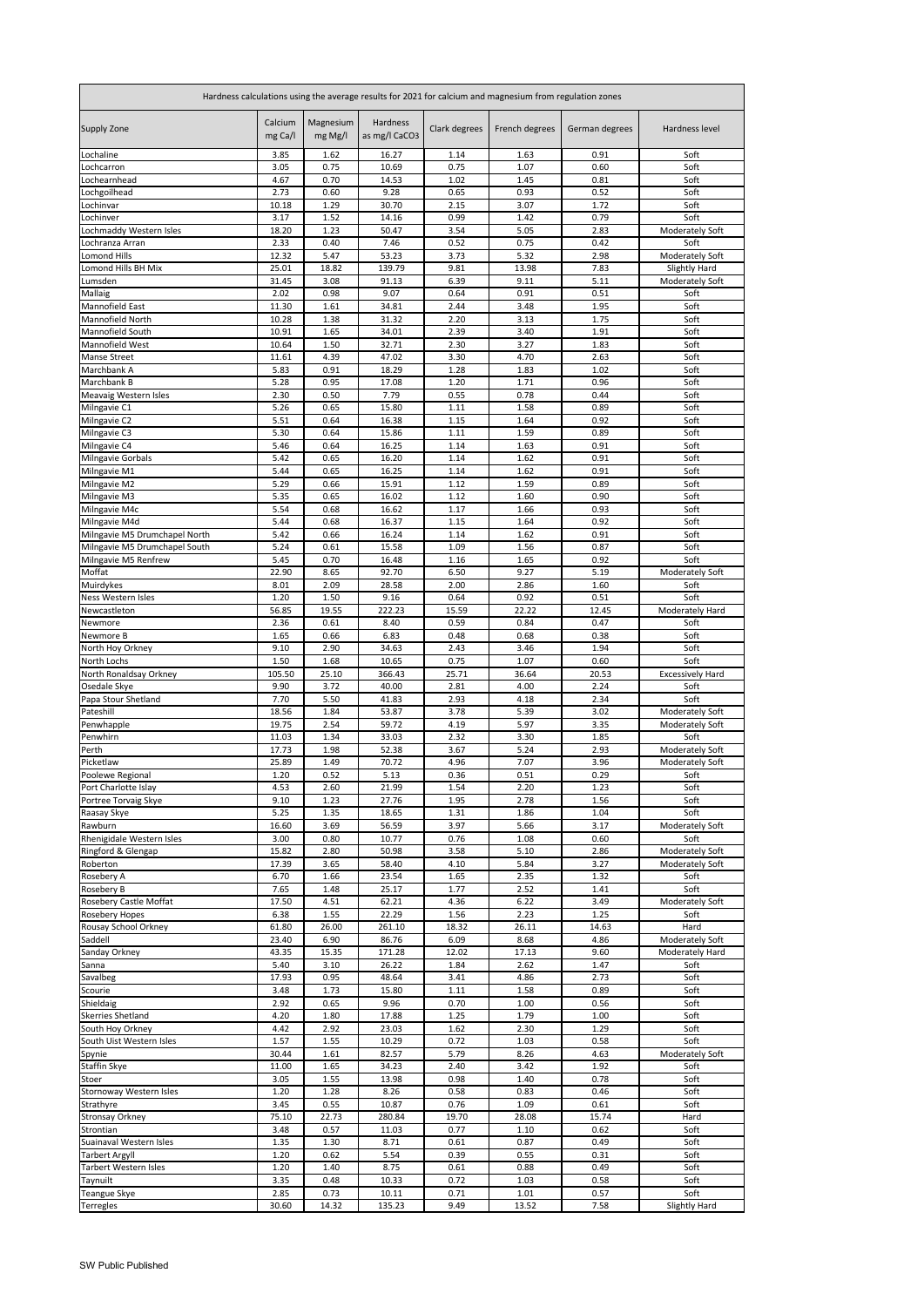| Hardness calculations using the average results for 2021 for calcium and magnesium from regulation zones |                    |                      |                           |               |                |                |                                    |
|----------------------------------------------------------------------------------------------------------|--------------------|----------------------|---------------------------|---------------|----------------|----------------|------------------------------------|
| <b>Supply Zone</b>                                                                                       | Calcium<br>mg Ca/l | Magnesium<br>mg Mg/l | Hardness<br>as mg/l CaCO3 | Clark degrees | French degrees | German degrees | Hardness level                     |
| Lochaline<br>Lochcarron                                                                                  | 3.85<br>3.05       | 1.62<br>0.75         | 16.27<br>10.69            | 1.14<br>0.75  | 1.63<br>1.07   | 0.91<br>0.60   | Soft<br>Soft                       |
| Lochearnhead                                                                                             | 4.67               | 0.70                 | 14.53                     | 1.02          | 1.45           | 0.81           | Soft                               |
| Lochgoilhead                                                                                             | 2.73               | 0.60                 | 9.28                      | 0.65          | 0.93           | 0.52           | Soft                               |
| Lochinvar<br>Lochinver                                                                                   | 10.18<br>3.17      | 1.29<br>1.52         | 30.70<br>14.16            | 2.15<br>0.99  | 3.07<br>1.42   | 1.72<br>0.79   | Soft<br>Soft                       |
| Lochmaddy Western Isles                                                                                  | 18.20              | 1.23                 | 50.47                     | 3.54          | 5.05           | 2.83           | <b>Moderately Soft</b>             |
| Lochranza Arran                                                                                          | 2.33               | 0.40                 | 7.46                      | 0.52          | 0.75           | 0.42           | Soft                               |
| <b>Lomond Hills</b><br>Lomond Hills BH Mix                                                               | 12.32              | 5.47                 | 53.23                     | 3.73          | 5.32           | 2.98           | Moderately Soft                    |
| Lumsden                                                                                                  | 25.01<br>31.45     | 18.82<br>3.08        | 139.79<br>91.13           | 9.81<br>6.39  | 13.98<br>9.11  | 7.83<br>5.11   | Slightly Hard<br>Moderately Soft   |
| Mallaig                                                                                                  | 2.02               | 0.98                 | 9.07                      | 0.64          | 0.91           | 0.51           | Soft                               |
| Mannofield East                                                                                          | 11.30              | 1.61                 | 34.81                     | 2.44          | 3.48           | 1.95           | Soft                               |
| Mannofield North<br>Mannofield South                                                                     | 10.28<br>10.91     | 1.38<br>1.65         | 31.32<br>34.01            | 2.20<br>2.39  | 3.13<br>3.40   | 1.75<br>1.91   | Soft<br>Soft                       |
| Mannofield West                                                                                          | 10.64              | 1.50                 | 32.71                     | 2.30          | 3.27           | 1.83           | Soft                               |
| <b>Manse Street</b>                                                                                      | 11.61              | 4.39                 | 47.02                     | 3.30          | 4.70           | 2.63           | Soft                               |
| Marchbank A<br>Marchbank B                                                                               | 5.83<br>5.28       | 0.91<br>0.95         | 18.29<br>17.08            | 1.28<br>1.20  | 1.83<br>1.71   | 1.02<br>0.96   | Soft<br>Soft                       |
| Meavaig Western Isles                                                                                    | 2.30               | 0.50                 | 7.79                      | 0.55          | 0.78           | 0.44           | Soft                               |
| Milngavie C1                                                                                             | 5.26               | 0.65                 | 15.80                     | 1.11          | 1.58           | 0.89           | Soft                               |
| Milngavie C2                                                                                             | 5.51               | 0.64                 | 16.38                     | 1.15          | 1.64           | 0.92           | Soft                               |
| Milngavie C3<br>Milngavie C4                                                                             | 5.30<br>5.46       | 0.64<br>0.64         | 15.86<br>16.25            | 1.11<br>1.14  | 1.59<br>1.63   | 0.89<br>0.91   | Soft<br>Soft                       |
| Milngavie Gorbals                                                                                        | 5.42               | 0.65                 | 16.20                     | 1.14          | 1.62           | 0.91           | Soft                               |
| Milngavie M1                                                                                             | 5.44               | 0.65                 | 16.25                     | 1.14          | 1.62           | 0.91           | Soft                               |
| Milngavie M2                                                                                             | 5.29               | 0.66                 | 15.91                     | 1.12          | 1.59           | 0.89           | Soft<br>Soft                       |
| Milngavie M3<br>Milngavie M4c                                                                            | 5.35<br>5.54       | 0.65<br>0.68         | 16.02<br>16.62            | 1.12<br>1.17  | 1.60<br>1.66   | 0.90<br>0.93   | Soft                               |
| Milngavie M4d                                                                                            | 5.44               | 0.68                 | 16.37                     | 1.15          | 1.64           | 0.92           | Soft                               |
| Milngavie M5 Drumchapel North                                                                            | 5.42               | 0.66                 | 16.24                     | 1.14          | 1.62           | 0.91           | Soft                               |
| Milngavie M5 Drumchapel South<br>Milngavie M5 Renfrew                                                    | 5.24<br>5.45       | 0.61<br>0.70         | 15.58<br>16.48            | 1.09<br>1.16  | 1.56<br>1.65   | 0.87<br>0.92   | Soft<br>Soft                       |
| Moffat                                                                                                   | 22.90              | 8.65                 | 92.70                     | 6.50          | 9.27           | 5.19           | Moderately Soft                    |
| Muirdykes                                                                                                | 8.01               | 2.09                 | 28.58                     | 2.00          | 2.86           | 1.60           | Soft                               |
| Ness Western Isles<br>Newcastleton                                                                       | 1.20<br>56.85      | 1.50<br>19.55        | 9.16<br>222.23            | 0.64<br>15.59 | 0.92<br>22.22  | 0.51<br>12.45  | Soft<br>Moderately Hard            |
| Newmore                                                                                                  | 2.36               | 0.61                 | 8.40                      | 0.59          | 0.84           | 0.47           | Soft                               |
| Newmore B                                                                                                | 1.65               | 0.66                 | 6.83                      | 0.48          | 0.68           | 0.38           | Soft                               |
| North Hoy Orkney                                                                                         | 9.10               | 2.90                 | 34.63                     | 2.43          | 3.46           | 1.94           | Soft                               |
| North Lochs<br>North Ronaldsay Orkney                                                                    | 1.50<br>105.50     | 1.68<br>25.10        | 10.65<br>366.43           | 0.75<br>25.71 | 1.07<br>36.64  | 0.60<br>20.53  | Soft<br><b>Excessively Hard</b>    |
| Osedale Skye                                                                                             | 9.90               | 3.72                 | 40.00                     | 2.81          | 4.00           | 2.24           | Soft                               |
| Papa Stour Shetland                                                                                      | 7.70               | 5.50                 | 41.83                     | 2.93          | 4.18           | 2.34           | Soft                               |
| Pateshill<br>Penwhapple                                                                                  | 18.56<br>19.75     | 1.84<br>2.54         | 53.87<br>59.72            | 3.78<br>4.19  | 5.39<br>5.97   | 3.02<br>3.35   | Moderately Soft<br>Moderately Soft |
| Penwhirn                                                                                                 | 11.03              | 1.34                 | 33.03                     | 2.32          | 3.30           | 1.85           | Soft                               |
| Perth                                                                                                    | 17.73              | 1.98                 | 52.38                     | 3.67          | 5.24           | 2.93           | Moderately Soft                    |
| Picketlaw<br>Poolewe Regional                                                                            | 25.89<br>1.20      | 1.49<br>0.52         | 70.72<br>5.13             | 4.96<br>0.36  | 7.07<br>0.51   | 3.96<br>0.29   | Moderately Soft<br>Soft            |
| Port Charlotte Islay                                                                                     | 4.53               | 2.60                 | 21.99                     | 1.54          | 2.20           | 1.23           | Soft                               |
| Portree Torvaig Skye                                                                                     | 9.10               | 1.23                 | 27.76                     | 1.95          | 2.78           | 1.56           | Soft                               |
| Raasay Skye<br>Rawburn                                                                                   | 5.25<br>16.60      | 1.35<br>3.69         | 18.65<br>56.59            | 1.31<br>3.97  | 1.86<br>5.66   | 1.04<br>3.17   | Soft<br>Moderately Soft            |
| Rhenigidale Western Isles                                                                                | 3.00               | 0.80                 | 10.77                     | 0.76          | 1.08           | 0.60           | Soft                               |
| Ringford & Glengap                                                                                       | 15.82              | 2.80                 | 50.98                     | 3.58          | 5.10           | 2.86           | Moderately Soft                    |
| Roberton                                                                                                 | 17.39<br>6.70      | 3.65<br>1.66         | 58.40<br>23.54            | 4.10<br>1.65  | 5.84<br>2.35   | 3.27<br>1.32   | Moderately Soft<br>Soft            |
| Rosebery A<br><b>Rosebery B</b>                                                                          | 7.65               | 1.48                 | 25.17                     | 1.77          | 2.52           | 1.41           | Soft                               |
| Rosebery Castle Moffat                                                                                   | 17.50              | 4.51                 | 62.21                     | 4.36          | 6.22           | 3.49           | Moderately Soft                    |
| <b>Rosebery Hopes</b>                                                                                    | 6.38               | 1.55                 | 22.29                     | 1.56          | 2.23           | 1.25           | Soft                               |
| Rousay School Orkney<br>Saddell                                                                          | 61.80<br>23.40     | 26.00<br>6.90        | 261.10<br>86.76           | 18.32<br>6.09 | 26.11<br>8.68  | 14.63<br>4.86  | Hard<br>Moderately Soft            |
| Sanday Orkney                                                                                            | 43.35              | 15.35                | 171.28                    | 12.02         | 17.13          | 9.60           | Moderately Hard                    |
| Sanna                                                                                                    | 5.40               | 3.10                 | 26.22                     | 1.84          | 2.62           | 1.47           | Soft                               |
| Savalbeg<br>Scourie                                                                                      | 17.93<br>3.48      | 0.95<br>1.73         | 48.64<br>15.80            | 3.41<br>1.11  | 4.86<br>1.58   | 2.73<br>0.89   | Soft<br>Soft                       |
| Shieldaig                                                                                                | 2.92               | 0.65                 | 9.96                      | 0.70          | 1.00           | 0.56           | Soft                               |
| <b>Skerries Shetland</b>                                                                                 | 4.20               | 1.80                 | 17.88                     | 1.25          | 1.79           | 1.00           | Soft                               |
| South Hoy Orkney<br>South Uist Western Isles                                                             | 4.42<br>1.57       | 2.92<br>1.55         | 23.03<br>10.29            | 1.62<br>0.72  | 2.30<br>1.03   | 1.29<br>0.58   | Soft<br>Soft                       |
| Spynie                                                                                                   | 30.44              | 1.61                 | 82.57                     | 5.79          | 8.26           | 4.63           | Moderately Soft                    |
| Staffin Skye                                                                                             | 11.00              | 1.65                 | 34.23                     | 2.40          | 3.42           | 1.92           | Soft                               |
| Stoer                                                                                                    | 3.05               | 1.55                 | 13.98                     | 0.98          | 1.40           | 0.78           | Soft                               |
| Stornoway Western Isles<br>Strathyre                                                                     | 1.20<br>3.45       | 1.28<br>0.55         | 8.26<br>10.87             | 0.58<br>0.76  | 0.83<br>1.09   | 0.46<br>0.61   | Soft<br>Soft                       |
| <b>Stronsay Orkney</b>                                                                                   | 75.10              | 22.73                | 280.84                    | 19.70         | 28.08          | 15.74          | Hard                               |
| Strontian                                                                                                | 3.48               | 0.57                 | 11.03                     | 0.77          | 1.10           | 0.62           | Soft                               |
| Suainaval Western Isles                                                                                  | 1.35<br>1.20       | 1.30<br>0.62         | 8.71<br>5.54              | 0.61<br>0.39  | 0.87<br>0.55   | 0.49<br>0.31   | Soft<br>Soft                       |
| <b>Tarbert Argyll</b><br><b>Tarbert Western Isles</b>                                                    | 1.20               | 1.40                 | 8.75                      | 0.61          | 0.88           | 0.49           | Soft                               |
| Taynuilt                                                                                                 | 3.35               | 0.48                 | 10.33                     | 0.72          | 1.03           | 0.58           | Soft                               |
| <b>Teangue Skye</b>                                                                                      | 2.85               | 0.73                 | 10.11                     | 0.71          | 1.01           | 0.57           | Soft                               |
| <b>Terregles</b>                                                                                         | 30.60              | 14.32                | 135.23                    | 9.49          | 13.52          | 7.58           | <b>Slightly Hard</b>               |